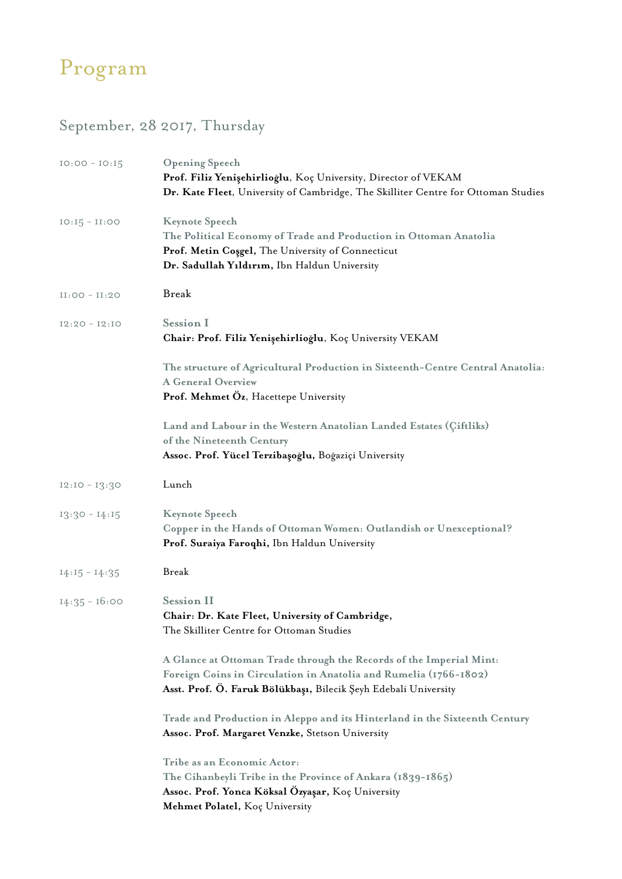## Program

## September, 28 2017, Thursday

| $IO:OO - IO:I5$  | <b>Opening Speech</b><br>Prof. Filiz Yenişehirlioğlu, Koç University, Director of VEKAM<br>Dr. Kate Fleet, University of Cambridge, The Skilliter Centre for Ottoman Studies                               |
|------------------|------------------------------------------------------------------------------------------------------------------------------------------------------------------------------------------------------------|
| $IO: I5 - II:OO$ | <b>Keynote Speech</b><br>The Political Economy of Trade and Production in Ottoman Anatolia<br>Prof. Metin Cosgel, The University of Connecticut<br>Dr. Sadullah Yıldırım, Ibn Haldun University            |
| $II:OO - II:2O$  | Break                                                                                                                                                                                                      |
| $I2:20 - I2:10$  | <b>Session I</b><br>Chair: Prof. Filiz Yenişehirlioğlu, Koç University VEKAM                                                                                                                               |
|                  | The structure of Agricultural Production in Sixteenth-Centre Central Anatolia:<br><b>A General Overview</b><br>Prof. Mehmet Oz, Hacettepe University                                                       |
|                  | Land and Labour in the Western Anatolian Landed Estates (Çiftliks)<br>of the Nineteenth Century<br>Assoc. Prof. Yücel Terzibaşoğlu, Boğaziçi University                                                    |
| $I2:I0 - I3:30$  | Lunch                                                                                                                                                                                                      |
| $13:30 - 14:15$  | <b>Keynote Speech</b><br>Copper in the Hands of Ottoman Women: Outlandish or Unexceptional?<br>Prof. Suraiya Faroqhi, Ibn Haldun University                                                                |
| $14:15 - 14:35$  | <b>Break</b>                                                                                                                                                                                               |
| $14:35 - 16:00$  | <b>Session II</b><br>Chair: Dr. Kate Fleet, University of Cambridge,<br>The Skilliter Centre for Ottoman Studies                                                                                           |
|                  | A Glance at Ottoman Trade through the Records of the Imperial Mint:<br>Foreign Coins in Circulation in Anatolia and Rumelia (1766-1802)<br>Asst. Prof. Ö. Faruk Bölükbaşı, Bilecik Şeyh Edebali University |
|                  | Trade and Production in Aleppo and its Hinterland in the Sixteenth Century<br>Assoc. Prof. Margaret Venzke, Stetson University                                                                             |
|                  | Tribe as an Economic Actor:<br>The Cihanbeyli Tribe in the Province of Ankara (1839-1865)<br>Assoc. Prof. Yonca Köksal Ozyaşar, Koç University<br>Mehmet Polatel, Koç University                           |